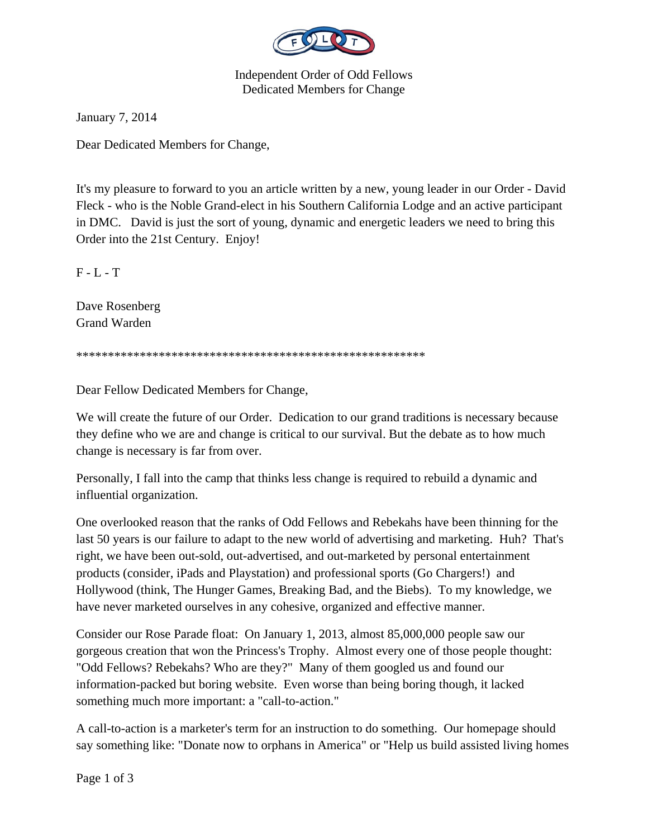

Independent Order of Odd Fellows Dedicated Members for Change

January 7, 2014

Dear Dedicated Members for Change,

It's my pleasure to forward to you an article written by a new, young leader in our Order - David Fleck - who is the Noble Grand-elect in his Southern California Lodge and an active participant in DMC. David is just the sort of young, dynamic and energetic leaders we need to bring this Order into the 21st Century. Enjoy!

F - L - T

Dave Rosenberg Grand Warden

\*\*\*\*\*\*\*\*\*\*\*\*\*\*\*\*\*\*\*\*\*\*\*\*\*\*\*\*\*\*\*\*\*\*\*\*\*\*\*\*\*\*\*\*\*\*\*\*\*\*\*\*\*\*\*

Dear Fellow Dedicated Members for Change,

We will create the future of our Order. Dedication to our grand traditions is necessary because they define who we are and change is critical to our survival. But the debate as to how much change is necessary is far from over.

Personally, I fall into the camp that thinks less change is required to rebuild a dynamic and influential organization.

One overlooked reason that the ranks of Odd Fellows and Rebekahs have been thinning for the last 50 years is our failure to adapt to the new world of advertising and marketing. Huh? That's right, we have been out-sold, out-advertised, and out-marketed by personal entertainment products (consider, iPads and Playstation) and professional sports (Go Chargers!) and Hollywood (think, The Hunger Games, Breaking Bad, and the Biebs). To my knowledge, we have never marketed ourselves in any cohesive, organized and effective manner.

Consider our Rose Parade float: On January 1, 2013, almost 85,000,000 people saw our gorgeous creation that won the Princess's Trophy. Almost every one of those people thought: "Odd Fellows? Rebekahs? Who are they?" Many of them googled us and found our information-packed but boring website. Even worse than being boring though, it lacked something much more important: a "call-to-action."

A call-to-action is a marketer's term for an instruction to do something. Our homepage should say something like: "Donate now to orphans in America" or "Help us build assisted living homes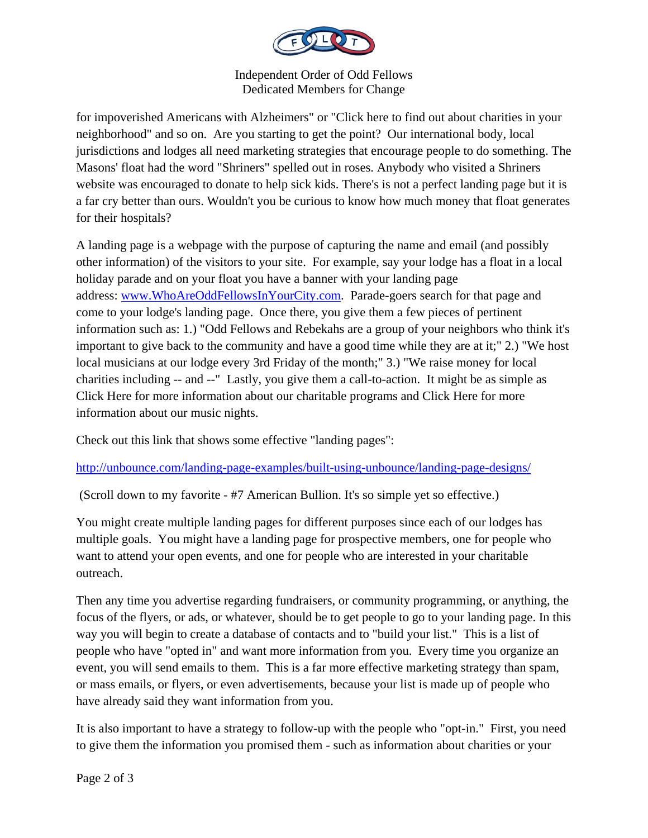

Independent Order of Odd Fellows Dedicated Members for Change

for impoverished Americans with Alzheimers" or "Click here to find out about charities in your neighborhood" and so on. Are you starting to get the point? Our international body, local jurisdictions and lodges all need marketing strategies that encourage people to do something. The Masons' float had the word "Shriners" spelled out in roses. Anybody who visited a Shriners website was encouraged to donate to help sick kids. There's is not a perfect landing page but it is a far cry better than ours. Wouldn't you be curious to know how much money that float generates for their hospitals?

A landing page is a webpage with the purpose of capturing the name and email (and possibly other information) of the visitors to your site. For example, say your lodge has a float in a local holiday parade and on your float you have a banner with your landing page address: www.WhoAreOddFellowsInYourCity.com. Parade-goers search for that page and come to your lodge's landing page. Once there, you give them a few pieces of pertinent information such as: 1.) "Odd Fellows and Rebekahs are a group of your neighbors who think it's important to give back to the community and have a good time while they are at it;" 2.) "We host local musicians at our lodge every 3rd Friday of the month;" 3.) "We raise money for local charities including -- and --" Lastly, you give them a call-to-action. It might be as simple as Click Here for more information about our charitable programs and Click Here for more information about our music nights.

Check out this link that shows some effective "landing pages":

http://unbounce.com/landing-page-examples/built-using-unbounce/landing-page-designs/

(Scroll down to my favorite - #7 American Bullion. It's so simple yet so effective.)

You might create multiple landing pages for different purposes since each of our lodges has multiple goals. You might have a landing page for prospective members, one for people who want to attend your open events, and one for people who are interested in your charitable outreach.

Then any time you advertise regarding fundraisers, or community programming, or anything, the focus of the flyers, or ads, or whatever, should be to get people to go to your landing page. In this way you will begin to create a database of contacts and to "build your list." This is a list of people who have "opted in" and want more information from you. Every time you organize an event, you will send emails to them. This is a far more effective marketing strategy than spam, or mass emails, or flyers, or even advertisements, because your list is made up of people who have already said they want information from you.

It is also important to have a strategy to follow-up with the people who "opt-in." First, you need to give them the information you promised them - such as information about charities or your